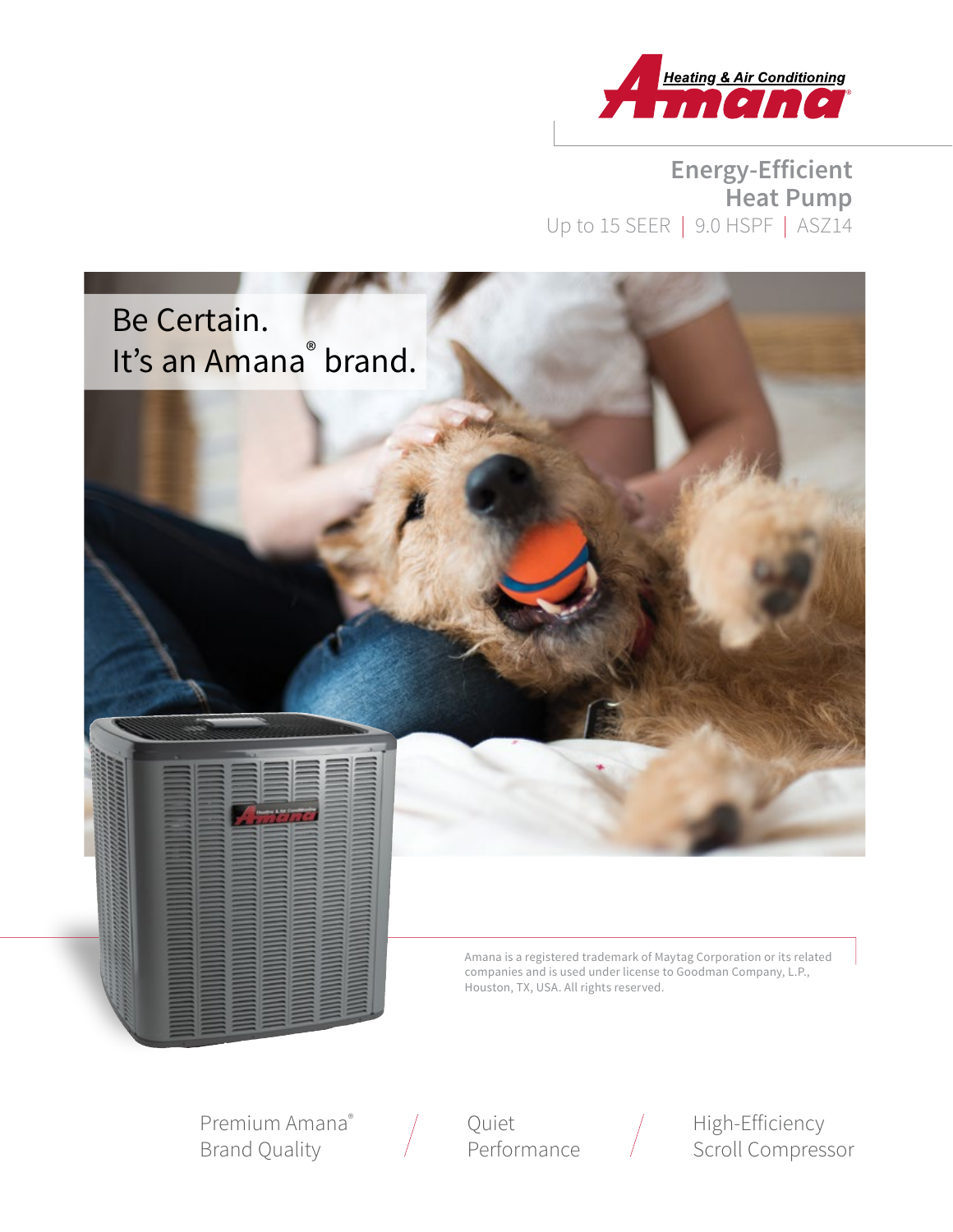

**Energy-Efficient Heat Pump** Up to 15 SEER | 9.0 HSPF | ASZ14



Premium Amana® Brand Quality

Quiet Performance



High-Efficiency Scroll Compressor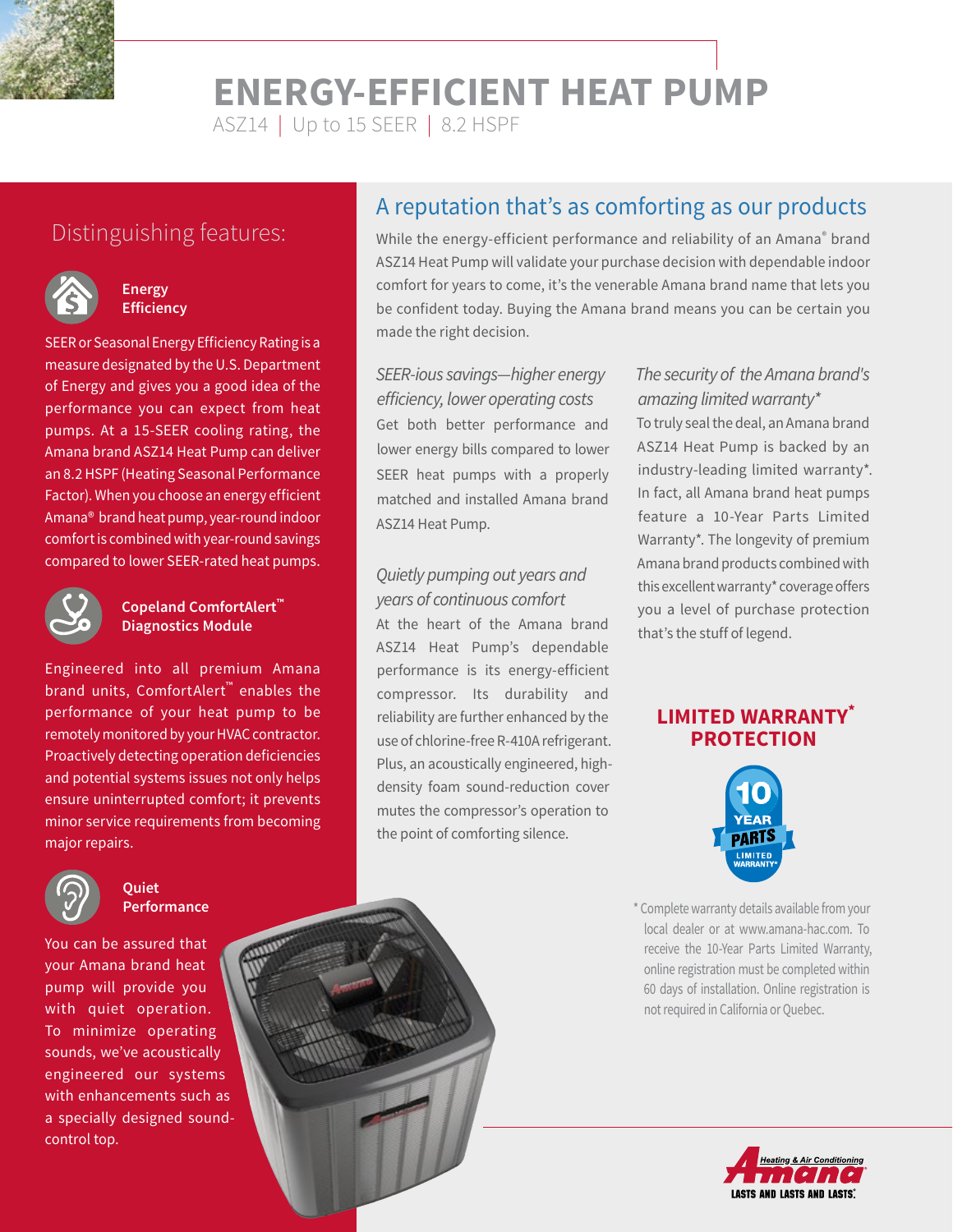

# **ENERGY-EFFICIENT HEAT PUMP**

ASZ14 | Up to 15 SEER | 8.2 HSPF

# Distinguishing features:



#### **Energy Efficiency**

SEER or Seasonal Energy Efficiency Rating is a measure designated by the U.S. Department of Energy and gives you a good idea of the performance you can expect from heat pumps. At a 15-SEER cooling rating, the Amana brand ASZ14 Heat Pump can deliver an 8.2 HSPF (Heating Seasonal Performance Factor). When you choose an energy efficient Amana® brand heat pump, year-round indoor comfort is combined with year-round savings compared to lower SEER-rated heat pumps.



#### **Copeland ComfortAlert™ Diagnostics Module**

Engineered into all premium Amana brand units, ComfortAlert™ enables the performance of your heat pump to be remotely monitored by your HVAC contractor. Proactively detecting operation deficiencies and potential systems issues not only helps ensure uninterrupted comfort; it prevents minor service requirements from becoming major repairs.



#### **Quiet Performance**

You can be assured that your Amana brand heat pump will provide you with quiet operation. To minimize operating sounds, we've acoustically engineered our systems with enhancements such as a specially designed soundcontrol top.

# A reputation that's as comforting as our products

While the energy-efficient performance and reliability of an Amana® brand ASZ14 Heat Pump will validate your purchase decision with dependable indoor comfort for years to come, it's the venerable Amana brand name that lets you be confident today. Buying the Amana brand means you can be certain you made the right decision.

*SEER-ious savings—higher energy efficiency, lower operating costs* Get both better performance and lower energy bills compared to lower SEER heat pumps with a properly matched and installed Amana brand ASZ14 Heat Pump.

## *Quietly pumping out years and years of continuous comfort*

At the heart of the Amana brand ASZ14 Heat Pump's dependable performance is its energy-efficient compressor. Its durability and reliability are further enhanced by the use of chlorine-free R-410A refrigerant. Plus, an acoustically engineered, highdensity foam sound-reduction cover mutes the compressor's operation to the point of comforting silence.

## *The security of the Amana brand's amazing limited warranty\**

To truly seal the deal, an Amana brand ASZ14 Heat Pump is backed by an industry-leading limited warranty\*. In fact, all Amana brand heat pumps feature a 10-Year Parts Limited Warranty\*. The longevity of premium Amana brand products combined with this excellent warranty\* coverage offers you a level of purchase protection that's the stuff of legend.

## **LIMITED WARRANTY\* PROTECTION**



\* Complete warranty details available from your local dealer or at www.amana-hac.com. To receive the 10-Year Parts Limited Warranty, online registration must be completed within 60 days of installation. Online registration is not required in California or Quebec.

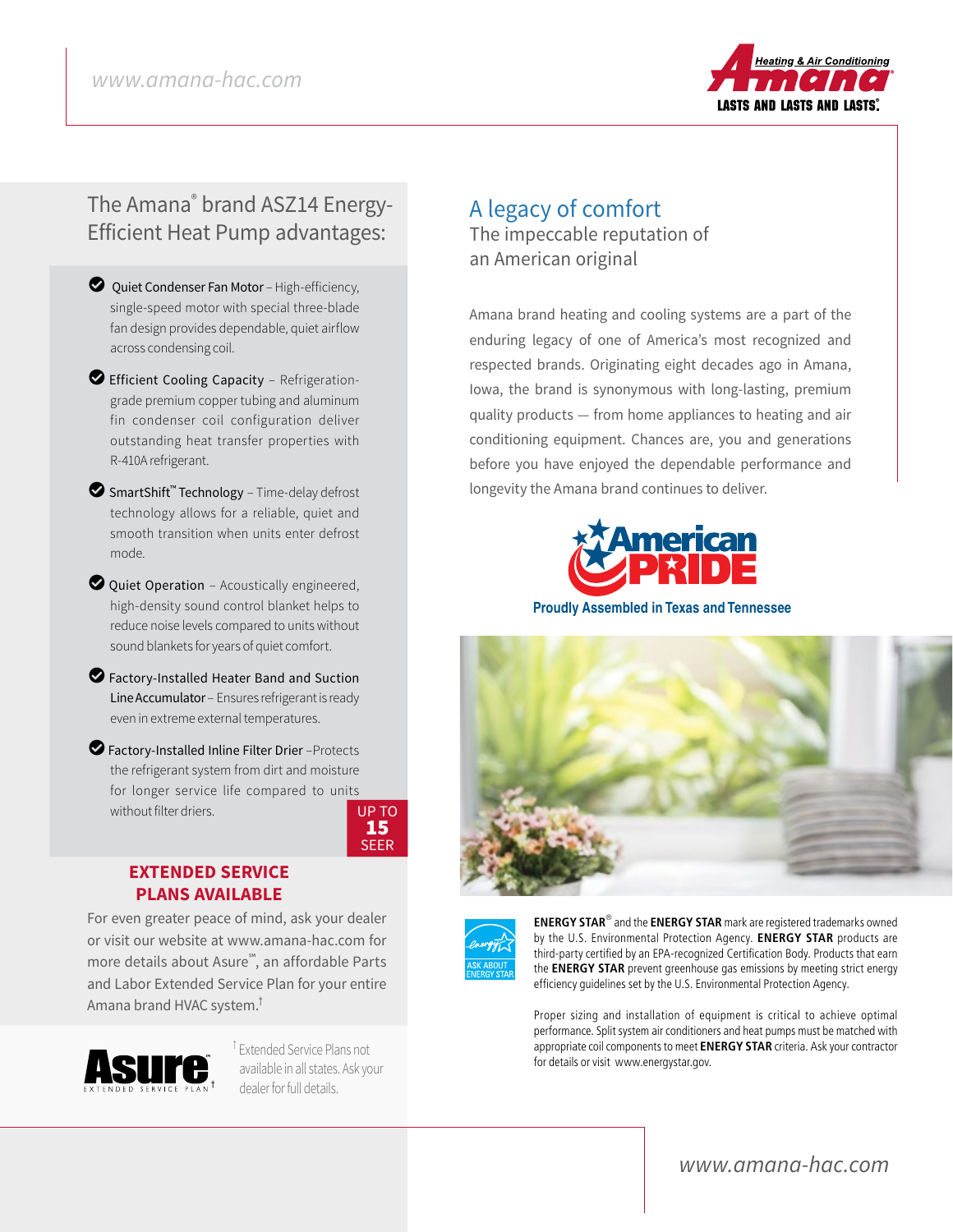

## The Amana® brand ASZ14 Energy-Efficient Heat Pump advantages:

- $\bullet$  Quiet Condenser Fan Motor High-efficiency, single-speed motor with special three-blade fan design provides dependable, quiet airflow across condensing coil.
- $\bullet$  Efficient Cooling Capacity Refrigerationgrade premium copper tubing and aluminum fin condenser coil configuration deliver outstanding heat transfer properties with R-410A refrigerant.
- LSmartShift™ Technology Time-delay defrost technology allows for a reliable, quiet and smooth transition when units enter defrost mode.
- $\bullet$  Quiet Operation Acoustically engineered, high-density sound control blanket helps to reduce noise levels compared to units without sound blankets for years of quiet comfort.
- Factory-Installed Heater Band and Suction Line Accumulator - Ensures refrigerant is ready even in extreme external temperatures.
- $\bullet$  Factory-Installed Inline Filter Drier –Protects the refrigerant system from dirt and moisture for longer service life compared to units without filter driers.

UP TO 15 SEER

#### **EXTENDED SERVICE PLANS AVAILABLE**

For even greater peace of mind, ask your dealer or visit our website at www.amana-hac.com for more details about Asure℠, an affordable Parts and Labor Extended Service Plan for your entire Amana brand HVAC system.†



† Extended Service Plans not available in all states. Ask your dealer for full details. †

## A legacy of comfort The impeccable reputation of an American original

Amana brand heating and cooling systems are a part of the enduring legacy of one of America's most recognized and respected brands. Originating eight decades ago in Amana, Iowa, the brand is synonymous with long-lasting, premium quality products — from home appliances to heating and air conditioning equipment. Chances are, you and generations before you have enjoyed the dependable performance and longevity the Amana brand continues to deliver.



**Proudly Assembled in Texas and Tennessee**





**ENERGY STAR**® and the **ENERGY STAR** mark are registered trademarks owned by the U.S. Environmental Protection Agency. **ENERGY STAR** products are third-party certified by an EPA-recognized Certification Body. Products that earn the **ENERGY STAR** prevent greenhouse gas emissions by meeting strict energy efficiency guidelines set by the U.S. Environmental Protection Agency.

Proper sizing and installation of equipment is critical to achieve optimal performance. Split system air conditioners and heat pumps must be matched with appropriate coil components to meet **ENERGY STAR** criteria. Ask your contractor for details or visit www.energystar.gov.